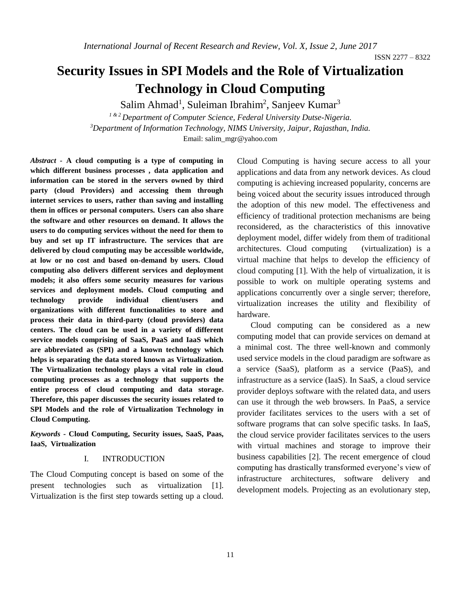# **Security Issues in SPI Models and the Role of Virtualization Technology in Cloud Computing**

Salim Ahmad<sup>1</sup>, Suleiman Ibrahim<sup>2</sup>, Sanjeev Kumar<sup>3</sup>

*1 & 2 Department of Computer Science, Federal University Dutse-Nigeria. <sup>3</sup>Department of Information Technology, NIMS University, Jaipur, Rajasthan, India.* Email: salim\_mgr@yahoo.com

*Abstract -* **A cloud computing is a type of computing in which different business processes , data application and information can be stored in the servers owned by third party (cloud Providers) and accessing them through internet services to users, rather than saving and installing them in offices or personal computers. Users can also share the software and other resources on demand. It allows the users to do computing services without the need for them to buy and set up IT infrastructure. The services that are delivered by cloud computing may be accessible worldwide, at low or no cost and based on-demand by users. Cloud computing also delivers different services and deployment models; it also offers some security measures for various services and deployment models. Cloud computing and technology provide individual client/users and organizations with different functionalities to store and process their data in third-party (cloud providers) data centers. The cloud can be used in a variety of different service models comprising of SaaS, PaaS and IaaS which are abbreviated as (SPI) and a known technology which helps is separating the data stored known as Virtualization. The Virtualization technology plays a vital role in cloud computing processes as a technology that supports the entire process of cloud computing and data storage. Therefore, this paper discusses the security issues related to SPI Models and the role of Virtualization Technology in Cloud Computing.**

*Keywords* **- Cloud Computing, Security issues, SaaS, Paas, IaaS, Virtualization** 

#### I. INTRODUCTION

The Cloud Computing concept is based on some of the present technologies such as virtualization [1]. Virtualization is the first step towards setting up a cloud.

Cloud Computing is having secure access to all your applications and data from any network devices. As cloud computing is achieving increased popularity, concerns are being voiced about the security issues introduced through the adoption of this new model. The effectiveness and efficiency of traditional protection mechanisms are being reconsidered, as the characteristics of this innovative deployment model, differ widely from them of traditional architectures. Cloud computing (virtualization) is a virtual machine that helps to develop the efficiency of cloud computing [1]. With the help of virtualization, it is possible to work on multiple operating systems and applications concurrently over a single server; therefore, virtualization increases the utility and flexibility of hardware.

Cloud computing can be considered as a new computing model that can provide services on demand at a minimal cost. The three well-known and commonly used service models in the cloud paradigm are software as a service (SaaS), platform as a service (PaaS), and infrastructure as a service (IaaS). In SaaS, a cloud service provider deploys software with the related data, and users can use it through the web browsers. In PaaS, a service provider facilitates services to the users with a set of software programs that can solve specific tasks. In IaaS, the cloud service provider facilitates services to the users with virtual machines and storage to improve their business capabilities [2]. The recent emergence of cloud computing has drastically transformed everyone's view of infrastructure architectures, software delivery and development models. Projecting as an evolutionary step,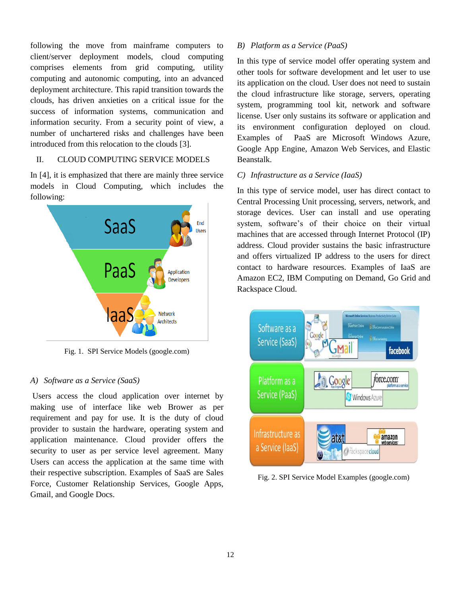following the move from mainframe computers to client/server deployment models, cloud computing comprises elements from grid computing, utility computing and autonomic computing, into an advanced deployment architecture. This rapid transition towards the clouds, has driven anxieties on a critical issue for the success of information systems, communication and information security. From a security point of view, a number of unchartered risks and challenges have been introduced from this relocation to the clouds [3].

## II. CLOUD COMPUTING SERVICE MODELS

In [4], it is emphasized that there are mainly three service models in Cloud Computing, which includes the following:



Fig. 1. SPI Service Models (google.com)

## *A) Software as a Service (SaaS)*

Users access the cloud application over internet by making use of interface like web Brower as per requirement and pay for use. It is the duty of cloud provider to sustain the hardware, operating system and application maintenance. Cloud provider offers the security to user as per service level agreement. Many Users can access the application at the same time with their respective subscription. Examples of SaaS are Sales Force, Customer Relationship Services, Google Apps, Gmail, and Google Docs.

## *B) Platform as a Service (PaaS)*

In this type of service model offer operating system and other tools for software development and let user to use its application on the cloud. User does not need to sustain the cloud infrastructure like storage, servers, operating system, programming tool kit, network and software license. User only sustains its software or application and its environment configuration deployed on cloud. Examples of PaaS are Microsoft Windows Azure, Google App Engine, Amazon Web Services, and Elastic Beanstalk.

## *C) Infrastructure as a Service (IaaS)*

In this type of service model, user has direct contact to Central Processing Unit processing, servers, network, and storage devices. User can install and use operating system, software's of their choice on their virtual machines that are accessed through Internet Protocol (IP) address. Cloud provider sustains the basic infrastructure and offers virtualized IP address to the users for direct contact to hardware resources. Examples of IaaS are Amazon EC2, IBM Computing on Demand, Go Grid and Rackspace Cloud.



Fig. 2. SPI Service Model Examples (google.com)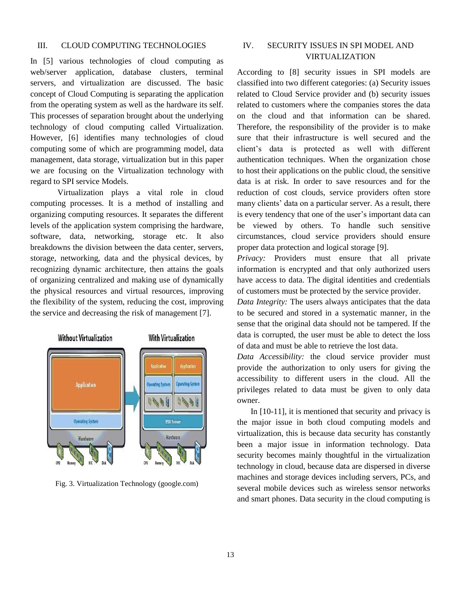### III. CLOUD COMPUTING TECHNOLOGIES

In [5] various technologies of cloud computing as web/server application, database clusters, terminal servers, and virtualization are discussed. The basic concept of Cloud Computing is separating the application from the operating system as well as the hardware its self. This processes of separation brought about the underlying technology of cloud computing called Virtualization. However, [6] identifies many technologies of cloud computing some of which are programming model, data management, data storage, virtualization but in this paper we are focusing on the Virtualization technology with regard to SPI service Models.

Virtualization plays a vital role in cloud computing processes. It is a method of installing and organizing computing resources. It separates the different levels of the application system comprising the hardware, software, data, networking, storage etc. It also breakdowns the division between the data center, servers, storage, networking, data and the physical devices, by recognizing dynamic architecture, then attains the goals of organizing centralized and making use of dynamically the physical resources and virtual resources, improving the flexibility of the system, reducing the cost, improving the service and decreasing the risk of management [7].



Fig. 3. Virtualization Technology (google.com)

## IV. SECURITY ISSUES IN SPI MODEL AND VIRTUALIZATION

According to [8] security issues in SPI models are classified into two different categories: (a) Security issues related to Cloud Service provider and (b) security issues related to customers where the companies stores the data on the cloud and that information can be shared. Therefore, the responsibility of the provider is to make sure that their infrastructure is well secured and the client's data is protected as well with different authentication techniques. When the organization chose to host their applications on the public cloud, the sensitive data is at risk. In order to save resources and for the reduction of cost clouds, service providers often store many clients' data on a particular server. As a result, there is every tendency that one of the user's important data can be viewed by others. To handle such sensitive circumstances, cloud service providers should ensure proper data protection and logical storage [9].

*Privacy:* Providers must ensure that all private information is encrypted and that only authorized users have access to data. The digital identities and credentials of customers must be protected by the service provider.

*Data Integrity:* The users always anticipates that the data to be secured and stored in a systematic manner, in the sense that the original data should not be tampered. If the data is corrupted, the user must be able to detect the loss of data and must be able to retrieve the lost data.

*Data Accessibility:* the cloud service provider must provide the authorization to only users for giving the accessibility to different users in the cloud. All the privileges related to data must be given to only data owner.

In [10-11], it is mentioned that security and privacy is the major issue in both cloud computing models and virtualization, this is because data security has constantly been a major issue in information technology. Data security becomes mainly thoughtful in the virtualization technology in cloud, because data are dispersed in diverse machines and storage devices including servers, PCs, and several mobile devices such as wireless sensor networks and smart phones. Data security in the cloud computing is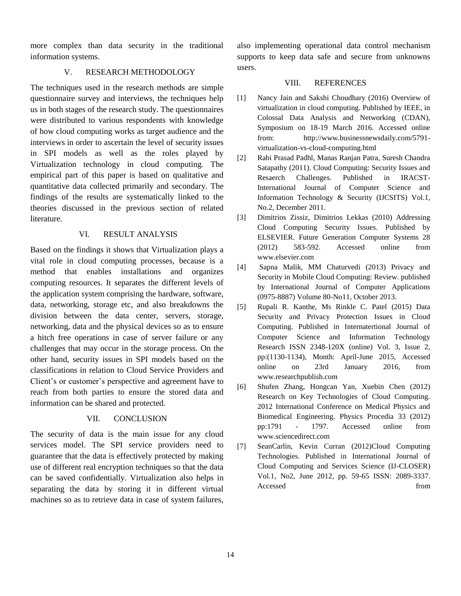more complex than data security in the traditional information systems.

## V. RESEARCH METHODOLOGY

The techniques used in the research methods are simple questionnaire survey and interviews, the techniques help us in both stages of the research study. The questionnaires were distributed to various respondents with knowledge of how cloud computing works as target audience and the interviews in order to ascertain the level of security issues in SPI models as well as the roles played by Virtualization technology in cloud computing. The empirical part of this paper is based on qualitative and quantitative data collected primarily and secondary. The findings of the results are systematically linked to the theories discussed in the previous section of related literature.

## VI. RESULT ANALYSIS

Based on the findings it shows that Virtualization plays a vital role in cloud computing processes, because is a method that enables installations and organizes computing resources. It separates the different levels of the application system comprising the hardware, software, data, networking, storage etc, and also breakdowns the division between the data center, servers, storage, networking, data and the physical devices so as to ensure a hitch free operations in case of server failure or any challenges that may occur in the storage process. On the other hand, security issues in SPI models based on the classifications in relation to Cloud Service Providers and Client's or customer's perspective and agreement have to reach from both parties to ensure the stored data and information can be shared and protected.

## VII. CONCLUSION

The security of data is the main issue for any cloud services model. The SPI service providers need to guarantee that the data is effectively protected by making use of different real encryption techniques so that the data can be saved confidentially. Virtualization also helps in separating the data by storing it in different virtual machines so as to retrieve data in case of system failures,

also implementing operational data control mechanism supports to keep data safe and secure from unknowns users.

## VIII. REFERENCES

- [1] Nancy Jain and Sakshi Choudhary (2016) Overview of virtualization in cloud computing. Published by IEEE, in Colossal Data Analysis and Networking (CDAN), Symposium on 18-19 March 2016. Accessed online from: [http://www.businessnewsdaily.com/5791](http://www.businessnewsdaily.com/5791-virtualization-vs-cloud-computing.html) [virtualization-vs-cloud-computing.html](http://www.businessnewsdaily.com/5791-virtualization-vs-cloud-computing.html)
- [2] Rabi Prasad Padhl, Manas Ranjan Patra, Suresh Chandra Satapathy (2011). Cloud Computing: Security Issues and Resaerch Challenges. Published in IRACST-International Journal of Computer Science and Information Technology & Security (IJCSITS) Vol.1, No.2, December 2011.
- [3] Dimitrios Zissiz, Dimitrios Lekkas (2010) Addressing Cloud Computing Security Issues. Published by ELSEVIER. Future Generation Computer Systems 28 (2012) 583-592. Accessed online from [www.elsevier.com](http://www.elsevier.com/)
- [4] Sapna Malik, MM Chaturvedi (2013) Privacy and Security in Mobile Cloud Computing: Review. published by International Journal of Computer Applications (0975-8887) Volume 80-No11, October 2013.
- [5] Rupali R. Kanthe, Ms Rinkle C. Patel (2015) Data Security and Privacy Protection Issues in Cloud Computing. Published in Internatertional Journal of Computer Science and Information Technology Research ISSN 2348-120X (online) Vol. 3, Issue 2, pp:(1130-1134), Month: April-June 2015, Accessed online on 23rd January 2016, from [www.researchpublish.com](http://www.researchpublish.com/)
- [6] Shufen Zhang, Hongcan Yan, Xuebin Chen (2012) Research on Key Technologies of Cloud Computing. 2012 International Conference on Medical Physics and Biomedical Engineering. Physics Procedia 33 (2012) pp:1791 - 1797. Accessed online from [www.sciencedirect.com](http://www.sciencedirect.com/)
- [7] SeanCarlin, Kevin Curran (2012)Cloud Computing Technologies. Published in International Journal of Cloud Computing and Services Science (IJ-CLOSER) Vol.1, No2, June 2012, pp. 59-65 ISSN: 2089-3337. Accessed from  $\sim$